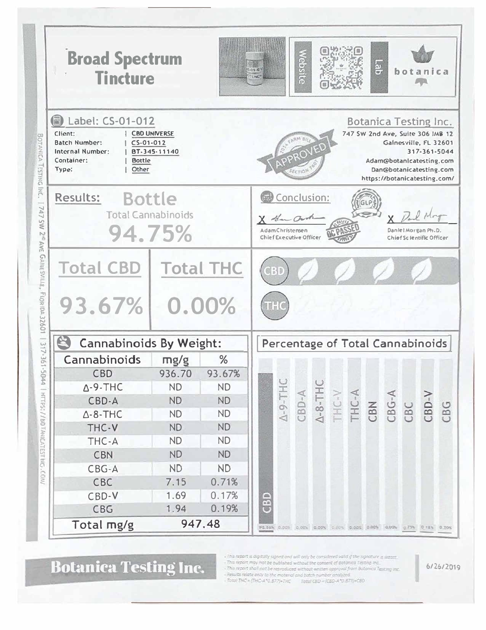| <b>Broad Spectrum</b><br><b>Tincture</b>                                                                                                         |                                     |           | <b>ebsite</b><br>Lab<br>botanica<br>$0 - 11$                                                                                                                                                     |  |  |  |
|--------------------------------------------------------------------------------------------------------------------------------------------------|-------------------------------------|-----------|--------------------------------------------------------------------------------------------------------------------------------------------------------------------------------------------------|--|--|--|
| 2 Label: CS-01-012<br>Client:<br><b>Batch Number:</b><br>$C5-01-012$<br><b>Internal Number:</b><br>Container:<br><b>Bottle</b><br>Type:<br>Other | <b>CBO UNIVERSE</b><br>BT-345-11140 |           | <b>Botanica Testing Inc.</b><br>747 SW 2nd Ave, Suite 306 IMB 12<br>Gainesville, FL 32601<br>317-361-5044<br>Adam@botanIcatesting.com<br>Dan@botanicatesting.com<br>https://botanicatesting.com/ |  |  |  |
| Results:<br><b>Bottle</b><br><b>Total Cannabinoids</b><br>94.75%                                                                                 |                                     |           | Conclusion:<br>X Han Ord<br><b>AdamChristensen</b><br>Daniel Morgan Ph.D.<br><b>Chief Executive Officer</b><br>Chiof Scientific Officer                                                          |  |  |  |
| AVE<br><b>GAINESVILLE</b><br><b>Total CBD   Total THC</b><br>FLORIDA 32601<br>93.67%                                                             | 0.00%                               |           | 6 S D                                                                                                                                                                                            |  |  |  |
| $\mathfrak{B}$<br><b>Cannabinoids By Weight:</b>                                                                                                 |                                     |           | Percentage of Total Cannabinoids                                                                                                                                                                 |  |  |  |
| 317-361-504<br>Cannabinoids                                                                                                                      | mg/g                                | %         |                                                                                                                                                                                                  |  |  |  |
| <b>CBD</b>                                                                                                                                       | 936.70                              | 93.67%    |                                                                                                                                                                                                  |  |  |  |
| ≏<br>$\Delta$ -9-THC                                                                                                                             | <b>ND</b>                           | <b>ND</b> | $\cup$<br>8.75                                                                                                                                                                                   |  |  |  |
| CBD-A                                                                                                                                            | <b>ND</b>                           | <b>ND</b> |                                                                                                                                                                                                  |  |  |  |
| $\triangle$ -8-THC                                                                                                                               | <b>ND</b>                           | <b>ND</b> | $\Delta - 9 - TH$<br>$\Delta - 8 - TH(C)$<br>THC-V<br>THC-A<br>$CBD-A$<br>CBN<br>CBG-A<br>CBC<br>$CBD-V$<br>CBG                                                                                  |  |  |  |
| THC-V                                                                                                                                            | <b>ND</b>                           | <b>ND</b> |                                                                                                                                                                                                  |  |  |  |
| THC-A                                                                                                                                            | <b>ND</b>                           | <b>ND</b> |                                                                                                                                                                                                  |  |  |  |
| HTTPS://BOTANICATESTING.COM/<br><b>CBN</b>                                                                                                       | <b>ND</b>                           | <b>ND</b> |                                                                                                                                                                                                  |  |  |  |
| CBG-A                                                                                                                                            | <b>ND</b>                           | <b>ND</b> |                                                                                                                                                                                                  |  |  |  |
| CBC                                                                                                                                              | 7.15                                | 0.71%     |                                                                                                                                                                                                  |  |  |  |
| CBD-V                                                                                                                                            | 1.69                                | 0.17%     |                                                                                                                                                                                                  |  |  |  |
| CBG                                                                                                                                              | 1.94                                | 0.19%     | GBD                                                                                                                                                                                              |  |  |  |
| Total mg/g                                                                                                                                       |                                     | 947.48    | 95.56% 0.00% 0.00% 0.00% 0.00% 0.00% 0.00% 0.73% 0.75% 0.76% 0.70%                                                                                                                               |  |  |  |

Botanica Testing Inc.

- This report is digitally signed and will only be considered valid if the signature  $\alpha$  intensity.<br>- This report may not be sublished without the consent of Botonica Testing Inc.<br>- This report shall not be reproduced wi

6/26/2019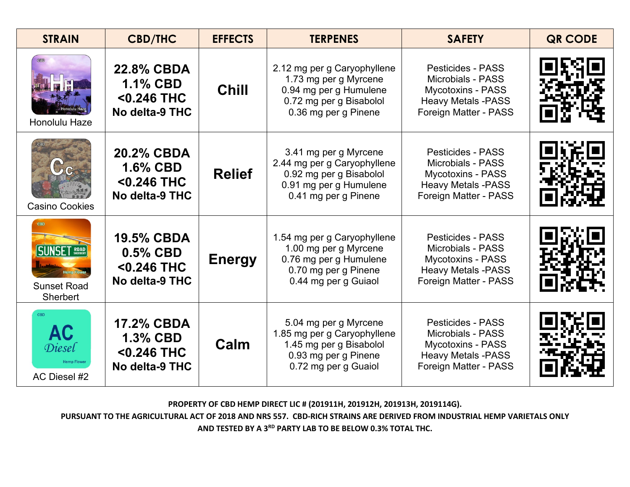| <b>STRAIN</b>                                                      | <b>CBD/THC</b>                                                       | <b>EFFECTS</b> | <b>TERPENES</b>                                                                                                                   | <b>SAFETY</b>                                                                                                                          | <b>QR CODE</b> |
|--------------------------------------------------------------------|----------------------------------------------------------------------|----------------|-----------------------------------------------------------------------------------------------------------------------------------|----------------------------------------------------------------------------------------------------------------------------------------|----------------|
| Honolulu Haze                                                      | <b>22.8% CBDA</b><br><b>1.1% CBD</b><br><0.246 THC<br>No delta-9 THC | <b>Chill</b>   | 2.12 mg per g Caryophyllene<br>1.73 mg per g Myrcene<br>0.94 mg per g Humulene<br>0.72 mg per g Bisabolol<br>0.36 mg per g Pinene | <b>Pesticides - PASS</b><br><b>Microbials - PASS</b><br><b>Mycotoxins - PASS</b><br><b>Heavy Metals -PASS</b><br>Foreign Matter - PASS |                |
| <b>Casino Cookies</b>                                              | <b>20.2% CBDA</b><br><b>1.6% CBD</b><br><0.246 THC<br>No delta-9 THC | <b>Relief</b>  | 3.41 mg per g Myrcene<br>2.44 mg per g Caryophyllene<br>0.92 mg per g Bisabolol<br>0.91 mg per g Humulene<br>0.41 mg per g Pinene | <b>Pesticides - PASS</b><br><b>Microbials - PASS</b><br><b>Mycotoxins - PASS</b><br><b>Heavy Metals -PASS</b><br>Foreign Matter - PASS |                |
| <b>CBD</b><br><b>SUNSET ROAD</b><br><b>Sunset Road</b><br>Sherbert | <b>19.5% CBDA</b><br>$0.5\%$ CBD<br><0.246 THC<br>No delta-9 THC     | <b>Energy</b>  | 1.54 mg per g Caryophyllene<br>1.00 mg per g Myrcene<br>0.76 mg per g Humulene<br>0.70 mg per g Pinene<br>0.44 mg per g Guiaol    | <b>Pesticides - PASS</b><br><b>Microbials - PASS</b><br><b>Mycotoxins - PASS</b><br><b>Heavy Metals -PASS</b><br>Foreign Matter - PASS |                |
| <b>CBD</b><br><b>AC</b><br>Diesel<br>AC Diesel #2                  | <b>17.2% CBDA</b><br><b>1.3% CBD</b><br><0.246 THC<br>No delta-9 THC | Calm           | 5.04 mg per g Myrcene<br>1.85 mg per g Caryophyllene<br>1.45 mg per g Bisabolol<br>0.93 mg per g Pinene<br>0.72 mg per g Guaiol   | <b>Pesticides - PASS</b><br><b>Microbials - PASS</b><br><b>Mycotoxins - PASS</b><br><b>Heavy Metals -PASS</b><br>Foreign Matter - PASS |                |

**PURSUANT TO THE AGRICULTURAL ACT OF 2018 AND NRS 557. CBD-RICH STRAINS ARE DERIVED FROM INDUSTRIAL HEMP VARIETALS ONLY**

**AND TESTED BY A 3RD PARTY LAB TO BE BELOW 0.3% TOTAL THC.**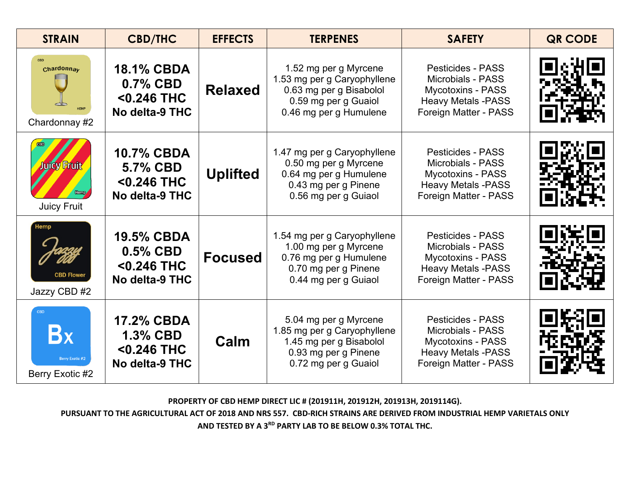| <b>STRAIN</b>                                                                     | <b>CBD/THC</b>                                                          | <b>EFFECTS</b>  | <b>TERPENES</b>                                                                                                                   | <b>SAFETY</b>                                                                                                                          | <b>QR CODE</b> |
|-----------------------------------------------------------------------------------|-------------------------------------------------------------------------|-----------------|-----------------------------------------------------------------------------------------------------------------------------------|----------------------------------------------------------------------------------------------------------------------------------------|----------------|
| <b>CBD</b><br>Chardonnay<br>Chardonnay #2                                         | <b>18.1% CBDA</b><br>0.7% CBD<br>$<$ 0.246 THC<br>No delta-9 THC        | <b>Relaxed</b>  | 1.52 mg per g Myrcene<br>1.53 mg per g Caryophyllene<br>0.63 mg per g Bisabolol<br>0.59 mg per g Guaiol<br>0.46 mg per g Humulene | <b>Pesticides - PASS</b><br><b>Microbials - PASS</b><br><b>Mycotoxins - PASS</b><br><b>Heavy Metals -PASS</b><br>Foreign Matter - PASS |                |
| Juicy Fruit<br><b>Juicy Fruit</b>                                                 | <b>10.7% CBDA</b><br>5.7% CBD<br><0.246 THC<br>No delta-9 THC           | <b>Uplifted</b> | 1.47 mg per g Caryophyllene<br>0.50 mg per g Myrcene<br>0.64 mg per g Humulene<br>0.43 mg per g Pinene<br>0.56 mg per g Guiaol    | <b>Pesticides - PASS</b><br>Microbials - PASS<br><b>Mycotoxins - PASS</b><br><b>Heavy Metals -PASS</b><br>Foreign Matter - PASS        |                |
| Hemp<br><b>CBD Flowe</b><br>Jazzy CBD #2                                          | <b>19.5% CBDA</b><br>$0.5\%$ CBD<br>$< 0.246$ THC<br>No delta-9 THC     | <b>Focused</b>  | 1.54 mg per g Caryophyllene<br>1.00 mg per g Myrcene<br>0.76 mg per g Humulene<br>0.70 mg per g Pinene<br>0.44 mg per g Guiaol    | <b>Pesticides - PASS</b><br><b>Microbials - PASS</b><br><b>Mycotoxins - PASS</b><br><b>Heavy Metals -PASS</b><br>Foreign Matter - PASS |                |
| <b>CBD</b><br>$\mathbf{B}\mathbf{x}$<br><b>Berry Exotic #2</b><br>Berry Exotic #2 | <b>17.2% CBDA</b><br><b>1.3% CBD</b><br>$<$ 0.246 THC<br>No delta-9 THC | Calm            | 5.04 mg per g Myrcene<br>1.85 mg per g Caryophyllene<br>1.45 mg per g Bisabolol<br>0.93 mg per g Pinene<br>0.72 mg per g Guaiol   | <b>Pesticides - PASS</b><br><b>Microbials - PASS</b><br><b>Mycotoxins - PASS</b><br><b>Heavy Metals -PASS</b><br>Foreign Matter - PASS |                |

**PURSUANT TO THE AGRICULTURAL ACT OF 2018 AND NRS 557. CBD-RICH STRAINS ARE DERIVED FROM INDUSTRIAL HEMP VARIETALS ONLY AND TESTED BY A 3RD PARTY LAB TO BE BELOW 0.3% TOTAL THC.**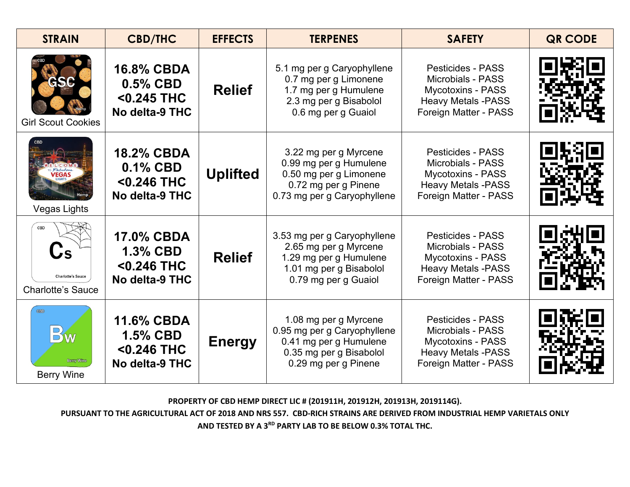| <b>STRAIN</b>                                               | <b>CBD/THC</b>                                                          | <b>EFFECTS</b>  | <b>TERPENES</b>                                                                                                                   | <b>SAFETY</b>                                                                                                                          | <b>QR CODE</b> |
|-------------------------------------------------------------|-------------------------------------------------------------------------|-----------------|-----------------------------------------------------------------------------------------------------------------------------------|----------------------------------------------------------------------------------------------------------------------------------------|----------------|
| GSC<br><b>Girl Scout Cookies</b>                            | <b>16.8% CBDA</b><br>$0.5\%$ CBD<br><0.245 THC<br>No delta-9 THC        | <b>Relief</b>   | 5.1 mg per g Caryophyllene<br>0.7 mg per g Limonene<br>1.7 mg per g Humulene<br>2.3 mg per g Bisabolol<br>0.6 mg per g Guaiol     | <b>Pesticides - PASS</b><br><b>Microbials - PASS</b><br><b>Mycotoxins - PASS</b><br><b>Heavy Metals -PASS</b><br>Foreign Matter - PASS |                |
| Vegas Lights                                                | <b>18.2% CBDA</b><br>0.1% CBD<br><0.246 THC<br>No delta-9 THC           | <b>Uplifted</b> | 3.22 mg per g Myrcene<br>0.99 mg per g Humulene<br>0.50 mg per g Limonene<br>0.72 mg per g Pinene<br>0.73 mg per g Caryophyllene  | <b>Pesticides - PASS</b><br><b>Microbials - PASS</b><br><b>Mycotoxins - PASS</b><br><b>Heavy Metals -PASS</b><br>Foreign Matter - PASS |                |
| CBD<br><b>Charlotte's Sauce</b><br><b>Charlotte's Sauce</b> | <b>17.0% CBDA</b><br><b>1.3% CBD</b><br>$<$ 0.246 THC<br>No delta-9 THC | <b>Relief</b>   | 3.53 mg per g Caryophyllene<br>2.65 mg per g Myrcene<br>1.29 mg per g Humulene<br>1.01 mg per g Bisabolol<br>0.79 mg per g Guaiol | <b>Pesticides - PASS</b><br><b>Microbials - PASS</b><br><b>Mycotoxins - PASS</b><br><b>Heavy Metals -PASS</b><br>Foreign Matter - PASS |                |
| <b>DW</b><br><b>Berry Wine</b><br><b>Berry Wine</b>         | <b>11.6% CBDA</b><br><b>1.5% CBD</b><br><0.246 THC<br>No delta-9 THC    | <b>Energy</b>   | 1.08 mg per g Myrcene<br>0.95 mg per g Caryophyllene<br>0.41 mg per g Humulene<br>0.35 mg per g Bisabolol<br>0.29 mg per g Pinene | <b>Pesticides - PASS</b><br><b>Microbials - PASS</b><br><b>Mycotoxins - PASS</b><br><b>Heavy Metals -PASS</b><br>Foreign Matter - PASS |                |

**PURSUANT TO THE AGRICULTURAL ACT OF 2018 AND NRS 557. CBD-RICH STRAINS ARE DERIVED FROM INDUSTRIAL HEMP VARIETALS ONLY AND TESTED BY A 3RD PARTY LAB TO BE BELOW 0.3% TOTAL THC.**